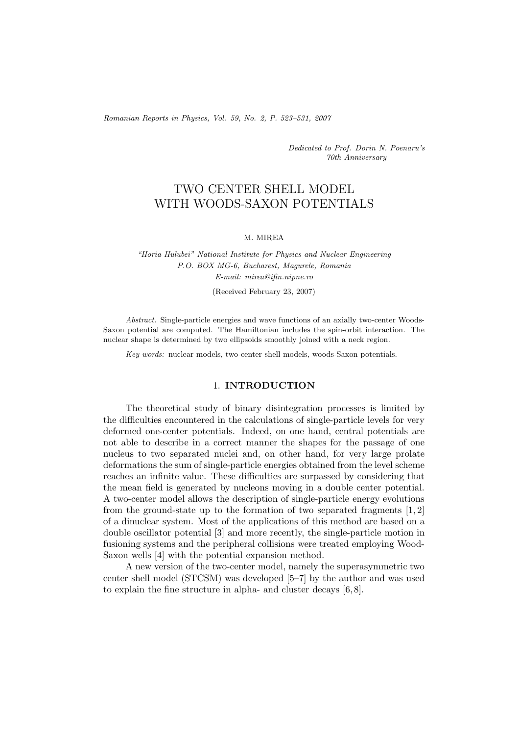*Romanian Reports in Physics, Vol. 59, No. 2, P. 523–531, 2007*

*Dedicated to Prof. Dorin N. Poenaru's 70th Anniversary*

# TWO CENTER SHELL MODEL WITH WOODS-SAXON POTENTIALS

#### M. MIREA

*"Horia Hulubei" National Institute for Physics and Nuclear Engineering P.O. BOX MG-6, Bucharest, Magurele, Romania E-mail: mirea@ifin.nipne.ro*

(Received February 23, 2007)

*Abstract.* Single-particle energies and wave functions of an axially two-center Woods-Saxon potential are computed. The Hamiltonian includes the spin-orbit interaction. The nuclear shape is determined by two ellipsoids smoothly joined with a neck region.

*Key words:* nuclear models, two-center shell models, woods-Saxon potentials.

#### 1. **INTRODUCTION**

The theoretical study of binary disintegration processes is limited by the difficulties encountered in the calculations of single-particle levels for very deformed one-center potentials. Indeed, on one hand, central potentials are not able to describe in a correct manner the shapes for the passage of one nucleus to two separated nuclei and, on other hand, for very large prolate deformations the sum of single-particle energies obtained from the level scheme reaches an infinite value. These difficulties are surpassed by considering that the mean field is generated by nucleons moving in a double center potential. A two-center model allows the description of single-particle energy evolutions from the ground-state up to the formation of two separated fragments  $[1, 2]$ of a dinuclear system. Most of the applications of this method are based on a double oscillator potential [3] and more recently, the single-particle motion in fusioning systems and the peripheral collisions were treated employing Wood-Saxon wells [4] with the potential expansion method.

A new version of the two-center model, namely the superasymmetric two center shell model (STCSM) was developed [5–7] by the author and was used to explain the fine structure in alpha- and cluster decays [6, 8].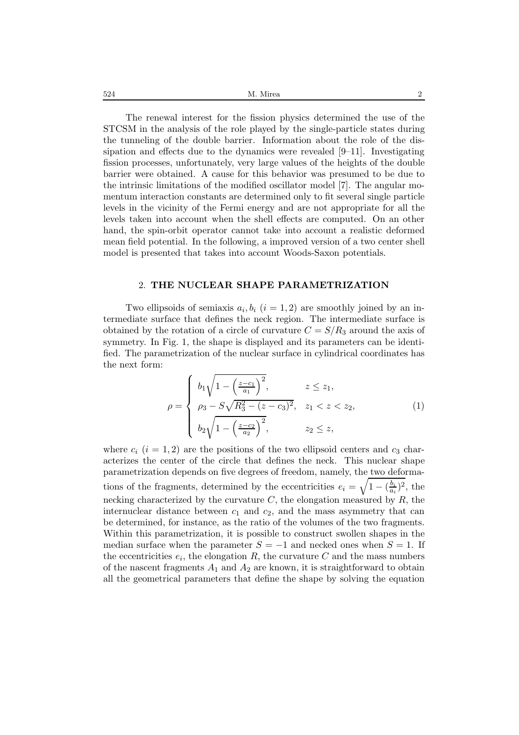| 524 | <sup>1</sup> Mirea<br>$\begin{array}{c} \begin{array}{c} \begin{array}{c} \begin{array}{c} \end{array}\\ \end{array} \end{array} \end{array} \end{array} \end{array} \end{array} \begin{array}{c} \begin{array}{c} \begin{array}{c} \end{array} \end{array} \end{array} \begin{array}{c} \begin{array}{c} \begin{array}{c} \end{array} \end{array} \end{array} \end{array} \begin{array}{c} \begin{array}{c} \begin{array}{c} \end{array} \end{array} \end{array} \begin{array}{c} \begin{array}{c} \end{array} \end{array} \end{array} \begin{array}{c} \begin{array}{c} \$ |  |
|-----|------------------------------------------------------------------------------------------------------------------------------------------------------------------------------------------------------------------------------------------------------------------------------------------------------------------------------------------------------------------------------------------------------------------------------------------------------------------------------------------------------------------------------------------------------------------------------|--|
|     |                                                                                                                                                                                                                                                                                                                                                                                                                                                                                                                                                                              |  |

The renewal interest for the fission physics determined the use of the STCSM in the analysis of the role played by the single-particle states during the tunneling of the double barrier. Information about the role of the dissipation and effects due to the dynamics were revealed [9–11]. Investigating fission processes, unfortunately, very large values of the heights of the double barrier were obtained. A cause for this behavior was presumed to be due to the intrinsic limitations of the modified oscillator model [7]. The angular momentum interaction constants are determined only to fit several single particle levels in the vicinity of the Fermi energy and are not appropriate for all the levels taken into account when the shell effects are computed. On an other hand, the spin-orbit operator cannot take into account a realistic deformed mean field potential. In the following, a improved version of a two center shell model is presented that takes into account Woods-Saxon potentials.

## 2. **THE NUCLEAR SHAPE PARAMETRIZATION**

Two ellipsoids of semiaxis  $a_i, b_i$   $(i = 1, 2)$  are smoothly joined by an intermediate surface that defines the neck region. The intermediate surface is obtained by the rotation of a circle of curvature  $C = S/R_3$  around the axis of symmetry. In Fig. 1, the shape is displayed and its parameters can be identified. The parametrization of the nuclear surface in cylindrical coordinates has the next form:

$$
\rho = \begin{cases} b_1 \sqrt{1 - \left(\frac{z - c_1}{a_1}\right)^2}, & z \le z_1, \\ \rho_3 - S \sqrt{R_3^2 - (z - c_3)^2}, & z_1 < z < z_2, \\ b_2 \sqrt{1 - \left(\frac{z - c_2}{a_2}\right)^2}, & z_2 \le z, \end{cases}
$$
(1)

where  $c_i$   $(i = 1, 2)$  are the positions of the two ellipsoid centers and  $c_3$  characterizes the center of the circle that defines the neck. This nuclear shape parametrization depends on five degrees of freedom, namely, the two deformations of the fragments, determined by the eccentricities  $e_i = \sqrt{1 - (\frac{b_i}{a_i})^2}$ , the necking characterized by the curvature  $C$ , the elongation measured by  $R$ , the internuclear distance between  $c_1$  and  $c_2$ , and the mass asymmetry that can be determined, for instance, as the ratio of the volumes of the two fragments. Within this parametrization, it is possible to construct swollen shapes in the median surface when the parameter  $S = -1$  and necked ones when  $S = 1$ . If the eccentricities  $e_i$ , the elongation R, the curvature C and the mass numbers of the nascent fragments  $A_1$  and  $A_2$  are known, it is straightforward to obtain all the geometrical parameters that define the shape by solving the equation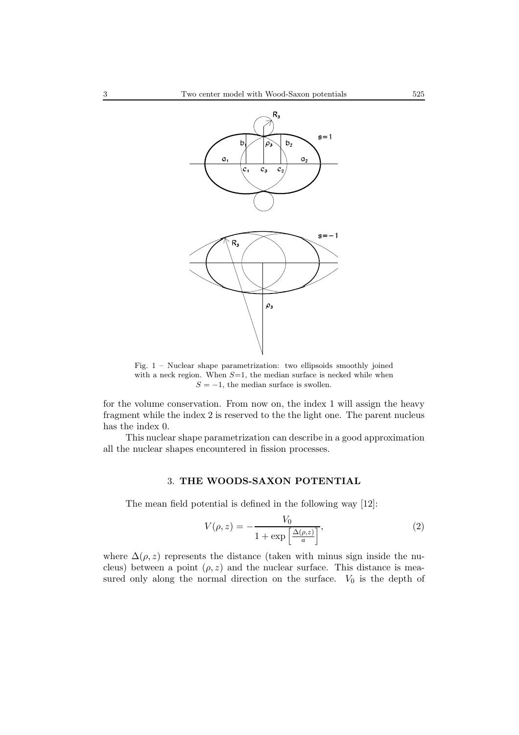

Fig. 1 – Nuclear shape parametrization: two ellipsoids smoothly joined with a neck region. When  $S=1$ , the median surface is necked while when  $S = -1$ , the median surface is swollen.

for the volume conservation. From now on, the index 1 will assign the heavy fragment while the index 2 is reserved to the the light one. The parent nucleus has the index 0.

This nuclear shape parametrization can describe in a good approximation all the nuclear shapes encountered in fission processes.

#### 3. **THE WOODS-SAXON POTENTIAL**

The mean field potential is defined in the following way [12]:

$$
V(\rho, z) = -\frac{V_0}{1 + \exp\left[\frac{\Delta(\rho, z)}{a}\right]},
$$
\n(2)

where  $\Delta(\rho, z)$  represents the distance (taken with minus sign inside the nucleus) between a point  $(\rho, z)$  and the nuclear surface. This distance is measured only along the normal direction on the surface.  $V_0$  is the depth of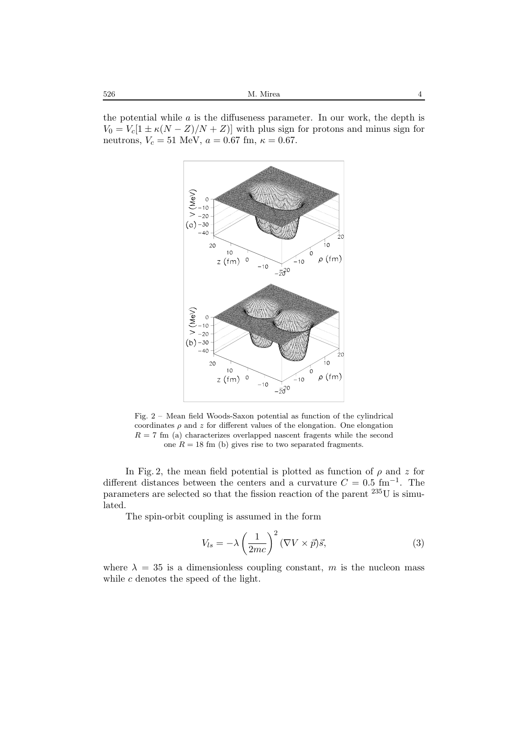$526 \hspace{20pt} \mathrm{M}$  M. Mirea  $4$ 

the potential while  $\alpha$  is the diffuseness parameter. In our work, the depth is  $V_0 = V_c[1 \pm \kappa (N - Z)/N + Z]$  with plus sign for protons and minus sign for neutrons,  $V_c = 51$  MeV,  $a = 0.67$  fm,  $\kappa = 0.67$ .



Fig. 2 – Mean field Woods-Saxon potential as function of the cylindrical coordinates  $\rho$  and z for different values of the elongation. One elongation  $R = 7$  fm (a) characterizes overlapped nascent fragents while the second one  $R = 18$  fm (b) gives rise to two separated fragments.

In Fig. 2, the mean field potential is plotted as function of  $\rho$  and z for different distances between the centers and a curvature  $C = 0.5$  fm<sup>−1</sup>. The parameters are selected so that the fission reaction of the parent  $^{235}$ U is simulated.

The spin-orbit coupling is assumed in the form

$$
V_{ls} = -\lambda \left(\frac{1}{2mc}\right)^2 (\nabla V \times \vec{p})\vec{s},\tag{3}
$$

where  $\lambda = 35$  is a dimensionless coupling constant, m is the nucleon mass while c denotes the speed of the light.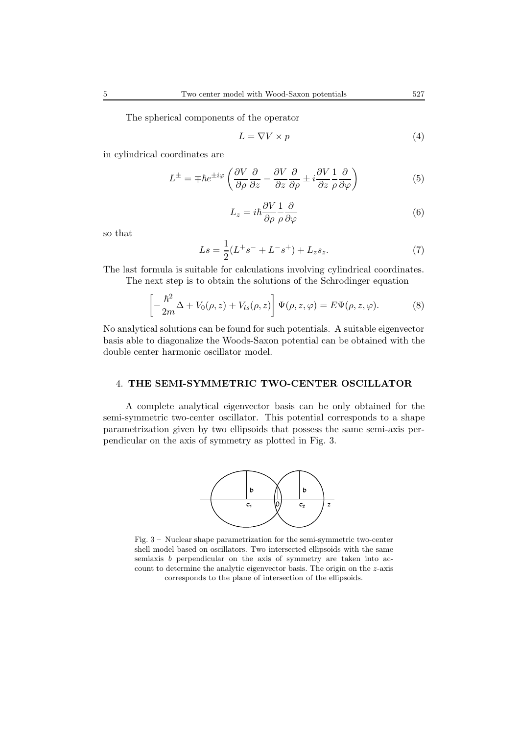The spherical components of the operator

$$
L = \nabla V \times p \tag{4}
$$

in cylindrical coordinates are

$$
L^{\pm} = \mp \hbar e^{\pm i\varphi} \left( \frac{\partial V}{\partial \rho} \frac{\partial}{\partial z} - \frac{\partial V}{\partial z} \frac{\partial}{\partial \rho} \pm i \frac{\partial V}{\partial z} \frac{1}{\rho} \frac{\partial}{\partial \varphi} \right)
$$
(5)

$$
L_z = i\hbar \frac{\partial V}{\partial \rho} \frac{1}{\rho} \frac{\partial}{\partial \varphi} \tag{6}
$$

so that

$$
Ls = \frac{1}{2}(L^+s^- + L^-s^+) + L_z s_z.
$$
 (7)

The last formula is suitable for calculations involving cylindrical coordinates. The next step is to obtain the solutions of the Schrodinger equation

$$
\left[ -\frac{\hbar^2}{2m}\Delta + V_0(\rho, z) + V_{ls}(\rho, z) \right] \Psi(\rho, z, \varphi) = E \Psi(\rho, z, \varphi).
$$
 (8)

No analytical solutions can be found for such potentials. A suitable eigenvector basis able to diagonalize the Woods-Saxon potential can be obtained with the double center harmonic oscillator model.

#### 4. **THE SEMI-SYMMETRIC TWO-CENTER OSCILLATOR**

A complete analytical eigenvector basis can be only obtained for the semi-symmetric two-center oscillator. This potential corresponds to a shape parametrization given by two ellipsoids that possess the same semi-axis perpendicular on the axis of symmetry as plotted in Fig. 3.



Fig. 3 – Nuclear shape parametrization for the semi-symmetric two-center shell model based on oscillators. Two intersected ellipsoids with the same semiaxis b perpendicular on the axis of symmetry are taken into account to determine the analytic eigenvector basis. The origin on the z-axis corresponds to the plane of intersection of the ellipsoids.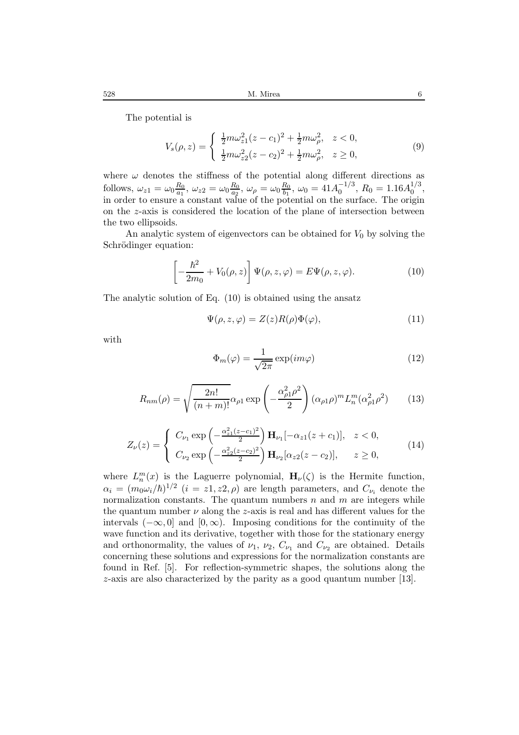The potential is

$$
V_s(\rho, z) = \begin{cases} \frac{1}{2}m\omega_{z1}^2(z - c_1)^2 + \frac{1}{2}m\omega_{\rho}^2, & z < 0, \\ \frac{1}{2}m\omega_{z2}^2(z - c_2)^2 + \frac{1}{2}m\omega_{\rho}^2, & z \ge 0, \end{cases}
$$
(9)

where  $\omega$  denotes the stiffness of the potential along different directions as follows,  $\omega_{z1} = \omega_0 \frac{R_0}{a_1}$ ,  $\omega_{z2} = \omega_0 \frac{R_0}{a_2}$ ,  $\omega_\rho = \omega_0 \frac{R_0}{b_1}$ ,  $\omega_0 = 41 A_0^{-1/3}$ ,  $R_0 = 1.16 A_0^{1/3}$ , in order to ensure a constant value of the potential on the surface. The origin on the z-axis is considered the location of the plane of intersection between the two ellipsoids.

An analytic system of eigenvectors can be obtained for  $V_0$  by solving the Schrödinger equation:

$$
\left[-\frac{\hbar^2}{2m_0} + V_0(\rho, z)\right] \Psi(\rho, z, \varphi) = E \Psi(\rho, z, \varphi).
$$
 (10)

The analytic solution of Eq. (10) is obtained using the ansatz

$$
\Psi(\rho, z, \varphi) = Z(z)R(\rho)\Phi(\varphi),\tag{11}
$$

with

$$
\Phi_m(\varphi) = \frac{1}{\sqrt{2\pi}} \exp(im\varphi)
$$
\n(12)

$$
R_{nm}(\rho) = \sqrt{\frac{2n!}{(n+m)!}} \alpha_{\rho 1} \exp\left(-\frac{\alpha_{\rho 1}^2 \rho^2}{2}\right) (\alpha_{\rho 1} \rho)^m L_n^m (\alpha_{\rho 1}^2 \rho^2)
$$
(13)

$$
Z_{\nu}(z) = \begin{cases} C_{\nu_1} \exp\left(-\frac{\alpha_{z1}^2 (z - c_1)^2}{2}\right) \mathbf{H}_{\nu_1}[-\alpha_{z1}(z + c_1)], & z < 0, \\ C_{\nu_2} \exp\left(-\frac{\alpha_{z2}^2 (z - c_2)^2}{2}\right) \mathbf{H}_{\nu_2}[\alpha_{z2}(z - c_2)], & z \ge 0, \end{cases}
$$
(14)

where  $L_n^m(x)$  is the Laguerre polynomial,  $\mathbf{H}_{\nu}(\zeta)$  is the Hermite function,  $\alpha_i = (m_0 \omega_i / \hbar)^{1/2}$  (*i* = *z*1, *z*2,  $\rho$ ) are length parameters, and  $C_{\nu_i}$  denote the normalization constants. The quantum numbers  $n$  and  $m$  are integers while the quantum number  $\nu$  along the z-axis is real and has different values for the intervals  $(-\infty, 0]$  and  $[0, \infty)$ . Imposing conditions for the continuity of the wave function and its derivative, together with those for the stationary energy and orthonormality, the values of  $\nu_1$ ,  $\nu_2$ ,  $C_{\nu_1}$  and  $C_{\nu_2}$  are obtained. Details concerning these solutions and expressions for the normalization constants are found in Ref. [5]. For reflection-symmetric shapes, the solutions along the z-axis are also characterized by the parity as a good quantum number [13].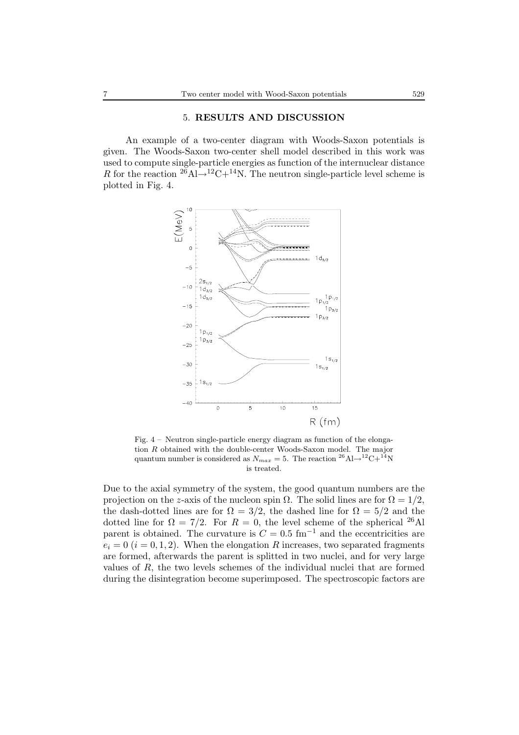# 5. **RESULTS AND DISCUSSION**

An example of a two-center diagram with Woods-Saxon potentials is given. The Woods-Saxon two-center shell model described in this work was used to compute single-particle energies as function of the internuclear distance R for the reaction  $^{26}$ Al→<sup>12</sup>C+<sup>14</sup>N. The neutron single-particle level scheme is plotted in Fig. 4.



Fig. 4 – Neutron single-particle energy diagram as function of the elongation R obtained with the double-center Woods-Saxon model. The major quantum number is considered as  $N_{max} = 5$ . The reaction <sup>26</sup>Al<sup>→12</sup>C+<sup>14</sup>N is treated.

Due to the axial symmetry of the system, the good quantum numbers are the projection on the z-axis of the nucleon spin  $\Omega$ . The solid lines are for  $\Omega = 1/2$ , the dash-dotted lines are for  $\Omega = 3/2$ , the dashed line for  $\Omega = 5/2$  and the dotted line for  $\Omega = 7/2$ . For  $R = 0$ , the level scheme of the spherical <sup>26</sup>Al parent is obtained. The curvature is  $C = 0.5$  fm<sup>-1</sup> and the eccentricities are  $e_i = 0$  ( $i = 0, 1, 2$ ). When the elongation R increases, two separated fragments are formed, afterwards the parent is splitted in two nuclei, and for very large values of R, the two levels schemes of the individual nuclei that are formed during the disintegration become superimposed. The spectroscopic factors are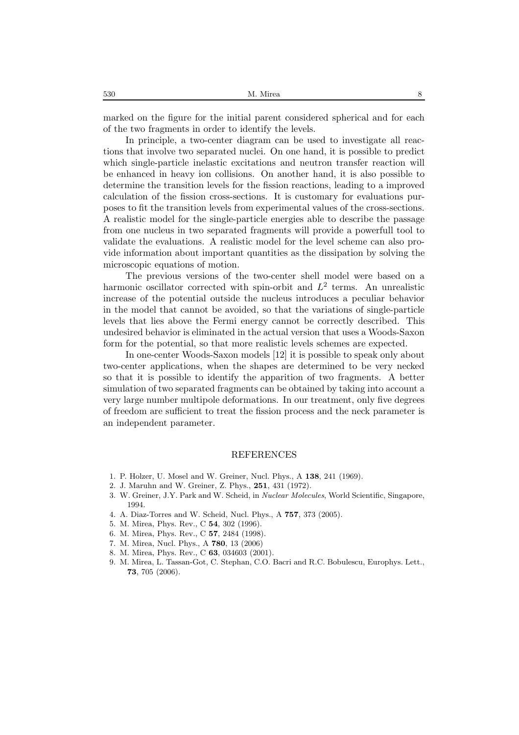marked on the figure for the initial parent considered spherical and for each of the two fragments in order to identify the levels.

In principle, a two-center diagram can be used to investigate all reactions that involve two separated nuclei. On one hand, it is possible to predict which single-particle inelastic excitations and neutron transfer reaction will be enhanced in heavy ion collisions. On another hand, it is also possible to determine the transition levels for the fission reactions, leading to a improved calculation of the fission cross-sections. It is customary for evaluations purposes to fit the transition levels from experimental values of the cross-sections. A realistic model for the single-particle energies able to describe the passage from one nucleus in two separated fragments will provide a powerfull tool to validate the evaluations. A realistic model for the level scheme can also provide information about important quantities as the dissipation by solving the microscopic equations of motion.

The previous versions of the two-center shell model were based on a harmonic oscillator corrected with spin-orbit and  $L^2$  terms. An unrealistic increase of the potential outside the nucleus introduces a peculiar behavior in the model that cannot be avoided, so that the variations of single-particle levels that lies above the Fermi energy cannot be correctly described. This undesired behavior is eliminated in the actual version that uses a Woods-Saxon form for the potential, so that more realistic levels schemes are expected.

In one-center Woods-Saxon models [12] it is possible to speak only about two-center applications, when the shapes are determined to be very necked so that it is possible to identify the apparition of two fragments. A better simulation of two separated fragments can be obtained by taking into account a very large number multipole deformations. In our treatment, only five degrees of freedom are sufficient to treat the fission process and the neck parameter is an independent parameter.

## REFERENCES

- 1. P. Holzer, U. Mosel and W. Greiner, Nucl. Phys., A **138**, 241 (1969).
- 2. J. Maruhn and W. Greiner, Z. Phys., **251**, 431 (1972).
- 3. W. Greiner, J.Y. Park and W. Scheid, in *Nuclear Molecules*, World Scientific, Singapore, 1994.
- 4. A. Diaz-Torres and W. Scheid, Nucl. Phys., A **757**, 373 (2005).
- 5. M. Mirea, Phys. Rev., C **54**, 302 (1996).
- 6. M. Mirea, Phys. Rev., C **57**, 2484 (1998).
- 7. M. Mirea, Nucl. Phys., A **780**, 13 (2006)
- 8. M. Mirea, Phys. Rev., C **63**, 034603 (2001).
- 9. M. Mirea, L. Tassan-Got, C. Stephan, C.O. Bacri and R.C. Bobulescu, Europhys. Lett., **73**, 705 (2006).